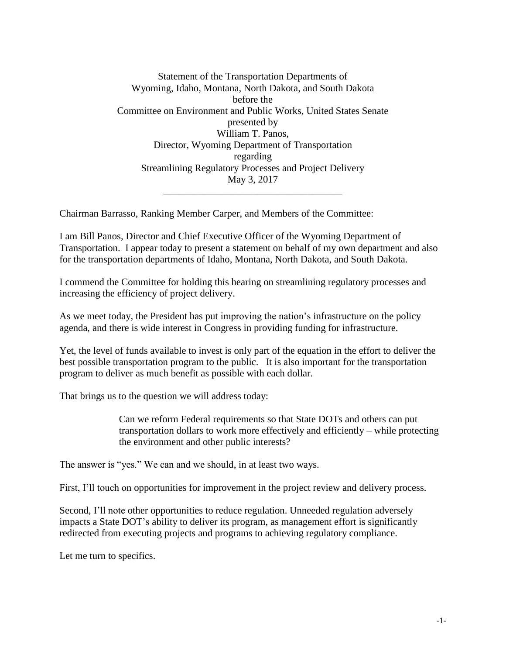Statement of the Transportation Departments of Wyoming, Idaho, Montana, North Dakota, and South Dakota before the Committee on Environment and Public Works, United States Senate presented by William T. Panos, Director, Wyoming Department of Transportation regarding Streamlining Regulatory Processes and Project Delivery May 3, 2017 \_\_\_\_\_\_\_\_\_\_\_\_\_\_\_\_\_\_\_\_\_\_\_\_\_\_\_\_\_\_\_\_\_\_\_\_

Chairman Barrasso, Ranking Member Carper, and Members of the Committee:

I am Bill Panos, Director and Chief Executive Officer of the Wyoming Department of Transportation. I appear today to present a statement on behalf of my own department and also for the transportation departments of Idaho, Montana, North Dakota, and South Dakota.

I commend the Committee for holding this hearing on streamlining regulatory processes and increasing the efficiency of project delivery.

As we meet today, the President has put improving the nation's infrastructure on the policy agenda, and there is wide interest in Congress in providing funding for infrastructure.

Yet, the level of funds available to invest is only part of the equation in the effort to deliver the best possible transportation program to the public. It is also important for the transportation program to deliver as much benefit as possible with each dollar.

That brings us to the question we will address today:

Can we reform Federal requirements so that State DOTs and others can put transportation dollars to work more effectively and efficiently – while protecting the environment and other public interests?

The answer is "yes." We can and we should, in at least two ways.

First, I'll touch on opportunities for improvement in the project review and delivery process.

Second, I'll note other opportunities to reduce regulation. Unneeded regulation adversely impacts a State DOT's ability to deliver its program, as management effort is significantly redirected from executing projects and programs to achieving regulatory compliance.

Let me turn to specifics.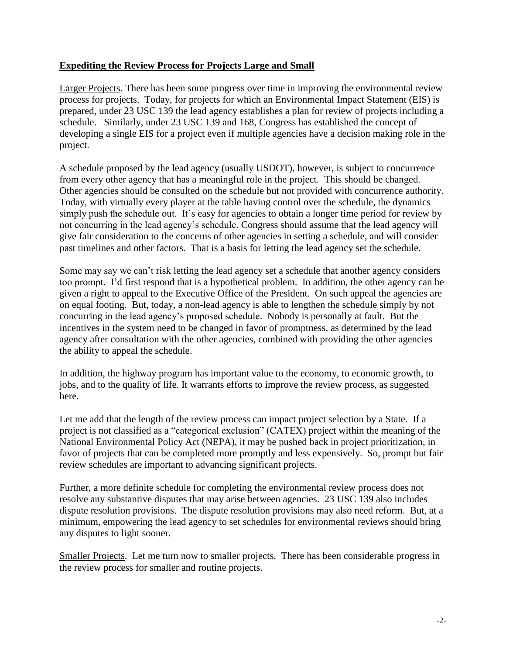#### **Expediting the Review Process for Projects Large and Small**

Larger Projects. There has been some progress over time in improving the environmental review process for projects. Today, for projects for which an Environmental Impact Statement (EIS) is prepared, under 23 USC 139 the lead agency establishes a plan for review of projects including a schedule. Similarly, under 23 USC 139 and 168, Congress has established the concept of developing a single EIS for a project even if multiple agencies have a decision making role in the project.

A schedule proposed by the lead agency (usually USDOT), however, is subject to concurrence from every other agency that has a meaningful role in the project. This should be changed. Other agencies should be consulted on the schedule but not provided with concurrence authority. Today, with virtually every player at the table having control over the schedule, the dynamics simply push the schedule out. It's easy for agencies to obtain a longer time period for review by not concurring in the lead agency's schedule. Congress should assume that the lead agency will give fair consideration to the concerns of other agencies in setting a schedule, and will consider past timelines and other factors. That is a basis for letting the lead agency set the schedule.

Some may say we can't risk letting the lead agency set a schedule that another agency considers too prompt. I'd first respond that is a hypothetical problem. In addition, the other agency can be given a right to appeal to the Executive Office of the President. On such appeal the agencies are on equal footing. But, today, a non-lead agency is able to lengthen the schedule simply by not concurring in the lead agency's proposed schedule. Nobody is personally at fault. But the incentives in the system need to be changed in favor of promptness, as determined by the lead agency after consultation with the other agencies, combined with providing the other agencies the ability to appeal the schedule.

In addition, the highway program has important value to the economy, to economic growth, to jobs, and to the quality of life. It warrants efforts to improve the review process, as suggested here.

Let me add that the length of the review process can impact project selection by a State. If a project is not classified as a "categorical exclusion" (CATEX) project within the meaning of the National Environmental Policy Act (NEPA), it may be pushed back in project prioritization, in favor of projects that can be completed more promptly and less expensively. So, prompt but fair review schedules are important to advancing significant projects.

Further, a more definite schedule for completing the environmental review process does not resolve any substantive disputes that may arise between agencies. 23 USC 139 also includes dispute resolution provisions. The dispute resolution provisions may also need reform. But, at a minimum, empowering the lead agency to set schedules for environmental reviews should bring any disputes to light sooner.

Smaller Projects. Let me turn now to smaller projects. There has been considerable progress in the review process for smaller and routine projects.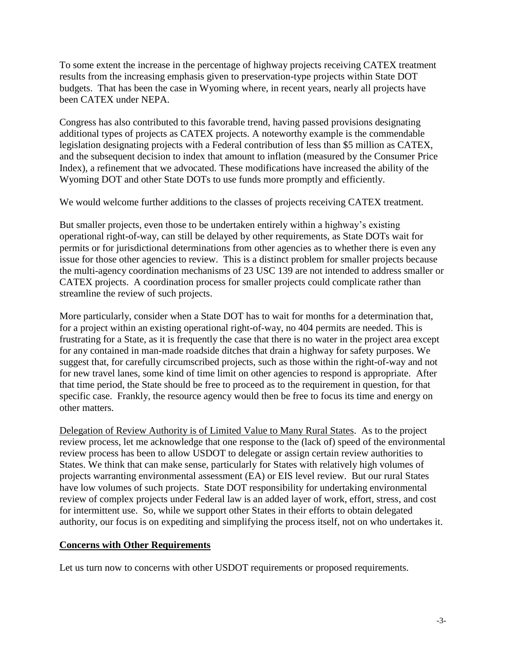To some extent the increase in the percentage of highway projects receiving CATEX treatment results from the increasing emphasis given to preservation-type projects within State DOT budgets. That has been the case in Wyoming where, in recent years, nearly all projects have been CATEX under NEPA.

Congress has also contributed to this favorable trend, having passed provisions designating additional types of projects as CATEX projects. A noteworthy example is the commendable legislation designating projects with a Federal contribution of less than \$5 million as CATEX, and the subsequent decision to index that amount to inflation (measured by the Consumer Price Index), a refinement that we advocated. These modifications have increased the ability of the Wyoming DOT and other State DOTs to use funds more promptly and efficiently.

We would welcome further additions to the classes of projects receiving CATEX treatment.

But smaller projects, even those to be undertaken entirely within a highway's existing operational right-of-way, can still be delayed by other requirements, as State DOTs wait for permits or for jurisdictional determinations from other agencies as to whether there is even any issue for those other agencies to review. This is a distinct problem for smaller projects because the multi-agency coordination mechanisms of 23 USC 139 are not intended to address smaller or CATEX projects. A coordination process for smaller projects could complicate rather than streamline the review of such projects.

More particularly, consider when a State DOT has to wait for months for a determination that, for a project within an existing operational right-of-way, no 404 permits are needed. This is frustrating for a State, as it is frequently the case that there is no water in the project area except for any contained in man-made roadside ditches that drain a highway for safety purposes. We suggest that, for carefully circumscribed projects, such as those within the right-of-way and not for new travel lanes, some kind of time limit on other agencies to respond is appropriate. After that time period, the State should be free to proceed as to the requirement in question, for that specific case. Frankly, the resource agency would then be free to focus its time and energy on other matters.

Delegation of Review Authority is of Limited Value to Many Rural States. As to the project review process, let me acknowledge that one response to the (lack of) speed of the environmental review process has been to allow USDOT to delegate or assign certain review authorities to States. We think that can make sense, particularly for States with relatively high volumes of projects warranting environmental assessment (EA) or EIS level review. But our rural States have low volumes of such projects. State DOT responsibility for undertaking environmental review of complex projects under Federal law is an added layer of work, effort, stress, and cost for intermittent use. So, while we support other States in their efforts to obtain delegated authority, our focus is on expediting and simplifying the process itself, not on who undertakes it.

#### **Concerns with Other Requirements**

Let us turn now to concerns with other USDOT requirements or proposed requirements.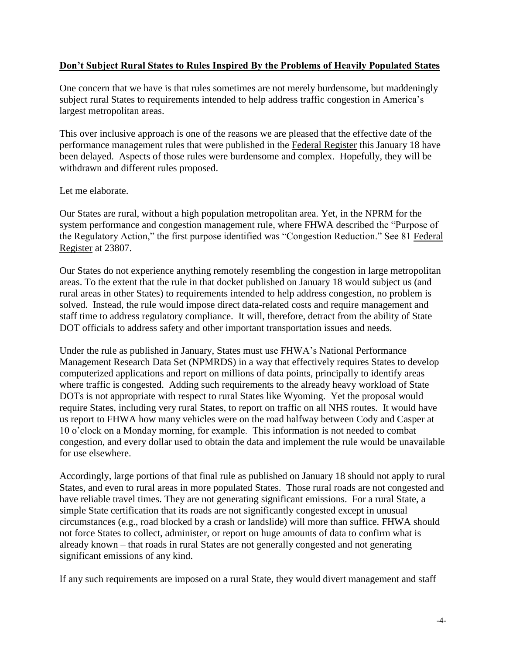#### **Don't Subject Rural States to Rules Inspired By the Problems of Heavily Populated States**

One concern that we have is that rules sometimes are not merely burdensome, but maddeningly subject rural States to requirements intended to help address traffic congestion in America's largest metropolitan areas.

This over inclusive approach is one of the reasons we are pleased that the effective date of the performance management rules that were published in the Federal Register this January 18 have been delayed. Aspects of those rules were burdensome and complex. Hopefully, they will be withdrawn and different rules proposed.

Let me elaborate.

Our States are rural, without a high population metropolitan area. Yet, in the NPRM for the system performance and congestion management rule, where FHWA described the "Purpose of the Regulatory Action," the first purpose identified was "Congestion Reduction." See 81 Federal Register at 23807.

Our States do not experience anything remotely resembling the congestion in large metropolitan areas. To the extent that the rule in that docket published on January 18 would subject us (and rural areas in other States) to requirements intended to help address congestion, no problem is solved. Instead, the rule would impose direct data-related costs and require management and staff time to address regulatory compliance. It will, therefore, detract from the ability of State DOT officials to address safety and other important transportation issues and needs.

Under the rule as published in January, States must use FHWA's National Performance Management Research Data Set (NPMRDS) in a way that effectively requires States to develop computerized applications and report on millions of data points, principally to identify areas where traffic is congested. Adding such requirements to the already heavy workload of State DOTs is not appropriate with respect to rural States like Wyoming. Yet the proposal would require States, including very rural States, to report on traffic on all NHS routes. It would have us report to FHWA how many vehicles were on the road halfway between Cody and Casper at 10 o'clock on a Monday morning, for example. This information is not needed to combat congestion, and every dollar used to obtain the data and implement the rule would be unavailable for use elsewhere.

Accordingly, large portions of that final rule as published on January 18 should not apply to rural States, and even to rural areas in more populated States. Those rural roads are not congested and have reliable travel times. They are not generating significant emissions. For a rural State, a simple State certification that its roads are not significantly congested except in unusual circumstances (e.g., road blocked by a crash or landslide) will more than suffice. FHWA should not force States to collect, administer, or report on huge amounts of data to confirm what is already known – that roads in rural States are not generally congested and not generating significant emissions of any kind.

If any such requirements are imposed on a rural State, they would divert management and staff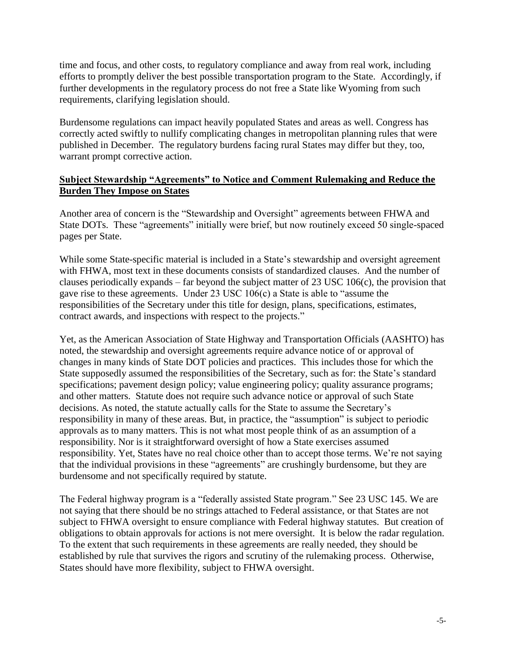time and focus, and other costs, to regulatory compliance and away from real work, including efforts to promptly deliver the best possible transportation program to the State. Accordingly, if further developments in the regulatory process do not free a State like Wyoming from such requirements, clarifying legislation should.

Burdensome regulations can impact heavily populated States and areas as well. Congress has correctly acted swiftly to nullify complicating changes in metropolitan planning rules that were published in December. The regulatory burdens facing rural States may differ but they, too, warrant prompt corrective action.

#### **Subject Stewardship "Agreements" to Notice and Comment Rulemaking and Reduce the Burden They Impose on States**

Another area of concern is the "Stewardship and Oversight" agreements between FHWA and State DOTs. These "agreements" initially were brief, but now routinely exceed 50 single-spaced pages per State.

While some State-specific material is included in a State's stewardship and oversight agreement with FHWA, most text in these documents consists of standardized clauses. And the number of clauses periodically expands – far beyond the subject matter of 23 USC 106(c), the provision that gave rise to these agreements. Under 23 USC 106(c) a State is able to "assume the responsibilities of the Secretary under this title for design, plans, specifications, estimates, contract awards, and inspections with respect to the projects."

Yet, as the American Association of State Highway and Transportation Officials (AASHTO) has noted, the stewardship and oversight agreements require advance notice of or approval of changes in many kinds of State DOT policies and practices. This includes those for which the State supposedly assumed the responsibilities of the Secretary, such as for: the State's standard specifications; pavement design policy; value engineering policy; quality assurance programs; and other matters. Statute does not require such advance notice or approval of such State decisions. As noted, the statute actually calls for the State to assume the Secretary's responsibility in many of these areas. But, in practice, the "assumption" is subject to periodic approvals as to many matters. This is not what most people think of as an assumption of a responsibility. Nor is it straightforward oversight of how a State exercises assumed responsibility. Yet, States have no real choice other than to accept those terms. We're not saying that the individual provisions in these "agreements" are crushingly burdensome, but they are burdensome and not specifically required by statute.

The Federal highway program is a "federally assisted State program." See 23 USC 145. We are not saying that there should be no strings attached to Federal assistance, or that States are not subject to FHWA oversight to ensure compliance with Federal highway statutes. But creation of obligations to obtain approvals for actions is not mere oversight. It is below the radar regulation. To the extent that such requirements in these agreements are really needed, they should be established by rule that survives the rigors and scrutiny of the rulemaking process. Otherwise, States should have more flexibility, subject to FHWA oversight.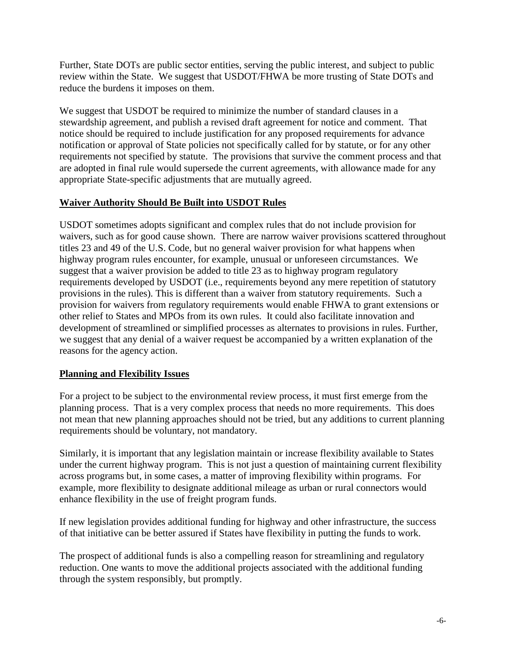Further, State DOTs are public sector entities, serving the public interest, and subject to public review within the State. We suggest that USDOT/FHWA be more trusting of State DOTs and reduce the burdens it imposes on them.

We suggest that USDOT be required to minimize the number of standard clauses in a stewardship agreement, and publish a revised draft agreement for notice and comment. That notice should be required to include justification for any proposed requirements for advance notification or approval of State policies not specifically called for by statute, or for any other requirements not specified by statute. The provisions that survive the comment process and that are adopted in final rule would supersede the current agreements, with allowance made for any appropriate State-specific adjustments that are mutually agreed.

# **Waiver Authority Should Be Built into USDOT Rules**

USDOT sometimes adopts significant and complex rules that do not include provision for waivers, such as for good cause shown. There are narrow waiver provisions scattered throughout titles 23 and 49 of the U.S. Code, but no general waiver provision for what happens when highway program rules encounter, for example, unusual or unforeseen circumstances. We suggest that a waiver provision be added to title 23 as to highway program regulatory requirements developed by USDOT (i.e., requirements beyond any mere repetition of statutory provisions in the rules). This is different than a waiver from statutory requirements. Such a provision for waivers from regulatory requirements would enable FHWA to grant extensions or other relief to States and MPOs from its own rules. It could also facilitate innovation and development of streamlined or simplified processes as alternates to provisions in rules. Further, we suggest that any denial of a waiver request be accompanied by a written explanation of the reasons for the agency action.

#### **Planning and Flexibility Issues**

For a project to be subject to the environmental review process, it must first emerge from the planning process. That is a very complex process that needs no more requirements. This does not mean that new planning approaches should not be tried, but any additions to current planning requirements should be voluntary, not mandatory.

Similarly, it is important that any legislation maintain or increase flexibility available to States under the current highway program. This is not just a question of maintaining current flexibility across programs but, in some cases, a matter of improving flexibility within programs. For example, more flexibility to designate additional mileage as urban or rural connectors would enhance flexibility in the use of freight program funds.

If new legislation provides additional funding for highway and other infrastructure, the success of that initiative can be better assured if States have flexibility in putting the funds to work.

The prospect of additional funds is also a compelling reason for streamlining and regulatory reduction. One wants to move the additional projects associated with the additional funding through the system responsibly, but promptly.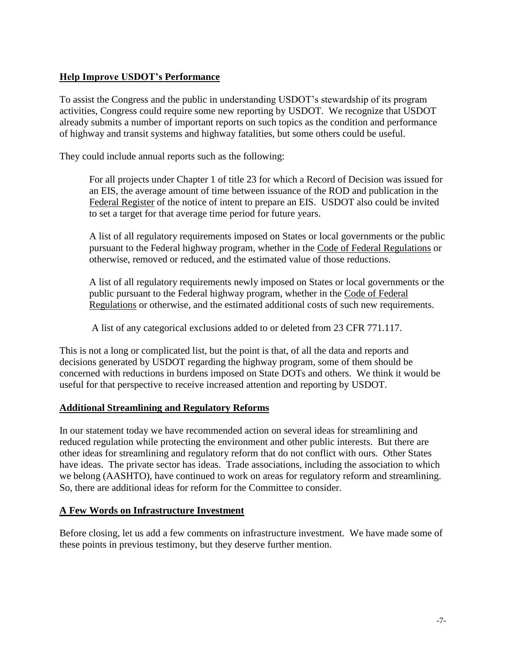# **Help Improve USDOT's Performance**

To assist the Congress and the public in understanding USDOT's stewardship of its program activities, Congress could require some new reporting by USDOT. We recognize that USDOT already submits a number of important reports on such topics as the condition and performance of highway and transit systems and highway fatalities, but some others could be useful.

They could include annual reports such as the following:

For all projects under Chapter 1 of title 23 for which a Record of Decision was issued for an EIS, the average amount of time between issuance of the ROD and publication in the Federal Register of the notice of intent to prepare an EIS. USDOT also could be invited to set a target for that average time period for future years.

A list of all regulatory requirements imposed on States or local governments or the public pursuant to the Federal highway program, whether in the Code of Federal Regulations or otherwise, removed or reduced, and the estimated value of those reductions.

A list of all regulatory requirements newly imposed on States or local governments or the public pursuant to the Federal highway program, whether in the Code of Federal Regulations or otherwise, and the estimated additional costs of such new requirements.

A list of any categorical exclusions added to or deleted from 23 CFR 771.117.

This is not a long or complicated list, but the point is that, of all the data and reports and decisions generated by USDOT regarding the highway program, some of them should be concerned with reductions in burdens imposed on State DOTs and others. We think it would be useful for that perspective to receive increased attention and reporting by USDOT.

#### **Additional Streamlining and Regulatory Reforms**

In our statement today we have recommended action on several ideas for streamlining and reduced regulation while protecting the environment and other public interests. But there are other ideas for streamlining and regulatory reform that do not conflict with ours. Other States have ideas. The private sector has ideas. Trade associations, including the association to which we belong (AASHTO), have continued to work on areas for regulatory reform and streamlining. So, there are additional ideas for reform for the Committee to consider.

#### **A Few Words on Infrastructure Investment**

Before closing, let us add a few comments on infrastructure investment. We have made some of these points in previous testimony, but they deserve further mention.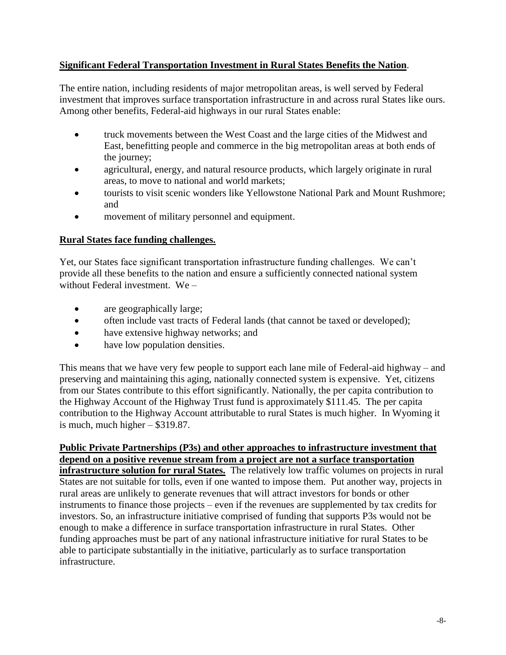#### **Significant Federal Transportation Investment in Rural States Benefits the Nation**.

The entire nation, including residents of major metropolitan areas, is well served by Federal investment that improves surface transportation infrastructure in and across rural States like ours. Among other benefits, Federal-aid highways in our rural States enable:

- truck movements between the West Coast and the large cities of the Midwest and East, benefitting people and commerce in the big metropolitan areas at both ends of the journey;
- agricultural, energy, and natural resource products, which largely originate in rural areas, to move to national and world markets;
- tourists to visit scenic wonders like Yellowstone National Park and Mount Rushmore; and
- movement of military personnel and equipment.

# **Rural States face funding challenges.**

Yet, our States face significant transportation infrastructure funding challenges. We can't provide all these benefits to the nation and ensure a sufficiently connected national system without Federal investment. We –

- are geographically large;
- often include vast tracts of Federal lands (that cannot be taxed or developed);
- have extensive highway networks; and
- have low population densities.

This means that we have very few people to support each lane mile of Federal-aid highway – and preserving and maintaining this aging, nationally connected system is expensive. Yet, citizens from our States contribute to this effort significantly. Nationally, the per capita contribution to the Highway Account of the Highway Trust fund is approximately \$111.45. The per capita contribution to the Highway Account attributable to rural States is much higher. In Wyoming it is much, much higher – \$319.87.

# **Public Private Partnerships (P3s) and other approaches to infrastructure investment that depend on a positive revenue stream from a project are not a surface transportation**

**infrastructure solution for rural States.** The relatively low traffic volumes on projects in rural States are not suitable for tolls, even if one wanted to impose them. Put another way, projects in rural areas are unlikely to generate revenues that will attract investors for bonds or other instruments to finance those projects – even if the revenues are supplemented by tax credits for investors. So, an infrastructure initiative comprised of funding that supports P3s would not be enough to make a difference in surface transportation infrastructure in rural States. Other funding approaches must be part of any national infrastructure initiative for rural States to be able to participate substantially in the initiative, particularly as to surface transportation infrastructure.